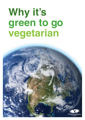# **Why it's green to go vegetarian**

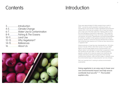### **Contents**

# Introduction

Introduction 3................... Climate Change 4-5............... Water Use & Contamination 6-7............... Fishing & The Oceans 8-9............... 10-11............Land Use Why Vegetarian? 12-13............ 14-15............References About Us 16.................



There were approximately 6.5 billion people living on earth in 20051, 2 and as the world's population continues to grow, our requirement for food will also increase. Worldwide food production requires 30% of the total soil available, 20% of fossil fuel energy and a major part of the fresh water flow<sup>3</sup>. Raising cattle is one of the most damaging components of agriculture4 . They cause the most environmental damage of any non-human species through over-grazing, soil erosion, desertification and tropical deforestation for ranches, in addition to their gaseous emissions and manure products. Studies on world food security estimate that an affluent diet containing meat requires up to 3 times as many resources as a vegetarian diet<sup>5</sup>.

Global production of meat has risen dramatically from 130 million tonnes in the late 1970s to 230 million tonnes in the year 2000<sup>6</sup>. Meat is now the single largest source of animal protein in all affluent nations<sup>7</sup> and demand for animal flesh is expected to more than double by the year 2050<sup>8</sup>. In order to meet this growing appetite, animals will no doubt be reared more intensively and cheaply with factory farming and aquaculture (fish farming) causing further pollution, water and land usage. If nothing is done, the environmental impact of meat production can only increase.

Diet is an important tool in working to achieve environmental sustainability.

Going vegetarian is an easy way to lower your own environmental impact and help ensure worldwide food security<sup>4, 9, 10</sup>. This booklet explains why.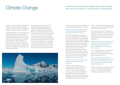# Climate Change

### Livestock farming contributes significantly to climate change. Stop eating meat and your "carbon footprint" will be smaller.

However much we might like to believe the sceptics, there is a very broad scientific consensus that our climate is changing and mankind is, at least in part, responsible.

"Greenhouse gases" are so called because they act like the glass of a greenhouse, trapping heat from the sun to warm up the Earth. Most of these gases occur naturally and without them our planet would be too cold to sustain life, but the balance is a very delicate one. Modern humans are causing a massive increase in greenhouse gas emissions and with too much of these gases in the atmosphere, temperatures will rise higher and higher.

At the beginning of 2007, the United Nation's Intergovernmental Panel on Climate Change (IPCC) reported that global temperatures will probably rise by between 1.8 and 4°C by the end of this century (the possible range being between 1.1 to  $6.4^{\circ}$ C)<sup>11</sup>. This may not sound like a lot but the polar ice caps are already melting and the report predicted that these temperature changes would cause rises in sea levels and increases in the number of hurricanes and tropical storms. When the sea level rises, low lying land around the world is threatened and over time, things just get worse as the expanding oceans



increase further, thanks to the meltingof ice sheets covering Greenland and Antarctica.

#### Many scientists and world leaders believe that climate change is the most serious issue facing the whole human race.

The most important greenhouse gases are carbon dioxide (CO<sub>2</sub>), methane (CH<sub>4</sub>) and nitrous oxide  $(N_2O)$ . The atmospheric concentrations of all three have increased phenomenally in modern times. Comparing figures from 2005 with pre-industrialised levels (measurements from 1750), carbon dioxide has increased from around 280 parts per million (ppm) to 379ppm, methane has increased from 715 parts per billion (ppb) to 1774ppb and nitrous oxide has increased from 270 ppb to 319 ppb11. The increase in carbon dioxide is due mostly to the use of fossil fuels and changes in the way we use land.

#### Increases of methane and nitrous oxide, however, are primarily caused by agriculture<sup>11</sup>.

Farmed animals produce more greenhouse gas emissions (18%) than the world's entire transport system (13.5%). Cows' flatulence, alongside animal excrement, makes the headlines due to both of them being extremely damaging. However, farming animals also generates gaseous emissions through the manufacture of fertilisers (to grow feed

crops), industrial feed production and the transportation of both live animals and their carcasses across the globe<sup>8</sup>.

9% of human-related  $CO<sub>2</sub>$  emissions are caused by the livestock sector, mostly due to changes in land use (e.g. forests being cleared for grazing or growing animal feed<sup>8</sup>) and the use of fossil fuels for farm operations<sup>12</sup>.

Methane has 23 times the global warming impact of  $CO_2^8$  and ruminant mammals (cows and sheep) are responsible for 37% of the total methane generated by human activity.

There are approximately 1.5 billion cattle and 1.7 billion sheep on the planet. A single cow can produce as much as 500 litres of methane per day13.

Nitrous oxide is almost 300 times as damaging to the climate as carbon dioxide with 65% of the total quantity produced by human activity coming from livestock (mostly their manure).

The animals we rear for meat also account for 64% of all the ammonia we humans impose on our precious atmosphere, contributing significantly to acid rain<sup>8</sup>.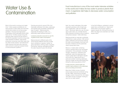### Water Use & **Contamination**

Food manufacture is one of the most water intensive activities in the world and it takes far less water to produce plants than meat. A vegetarian diet helps to decrease water consumption and pollution.

Much of the world is running out of water. Over 1 billion people worldwide do not have access to clean water and more than double that number do not have proper sanitation. The Food and Agricultural Organisation (FAO) estimates that by 2025 there will be 1.8 billion people living with absolute water scarcity and two thirds of the World's population could be living under water-stressed conditions. Agricultural production consumes more fresh water than any other human activity<sup>14</sup> and demand for water-intensive food items like meat and dairy products is placing increased stress on food production systems<sup>15</sup>.

Farming accounts for around 70% of all freshwater withdrawn from lakes, waterways and aquifers (the accessible underground layer of water)<sup>14</sup>. Meat production, especially the feeding of cattle, is a particularly water-intensive process<sup>16,17</sup>.

Livestock production accounts for over 8% of global human water consumption<sup>8</sup>.

Meat produced in different parts of the world requires different amounts of water due to variations in species, rainfall, hygiene standards, drinking needs, slaughter, butchering, cleaning, packaging and also the water required to grow the animals'



feed. As a result, estimates of the water required to produce a kilo of beef vary, from  $13,000$  litres<sup>14</sup> right up to  $100,000$ litres<sup>18</sup>. Whichever figure you use, the damage is plain when you consider that the water required to produce a kilo of wheat is somewhere between 1,000-2,000 litres.

Rearing animals for meat also contributes significantly to water pollution. With animal waste, antibiotics and hormones entering the water cycle alongside chemicals from tanneries, fertilizers and the pesticides used to spray feed crops.

Manure, or waste water containing manure, severely harms river and stream ecosystems. Once pollutants, including nitrogen, phosphorus, antibiotics and pesticides, reach the waterways they cause a great deal of damage to aquatic and human life. Algal blooms are a particular problem, blocking waterways, using up oxygen as they decompose and killing the natural populations of fish<sup>19</sup>.

In large amounts, animal waste can present major problems to the waterways and surrounding environment.

More than 2 billion tonnes of animal manure were produced worldwide during the late 1990s. Assuming an average nitrogen content of around 5%, this makes 100 million tonnes of nitrogen<sup>7</sup> finding its way into our water system.

In the Gulf of Mexico, pollutants in animal waste have contributed to a "dead zone" where there is not enough oxygen to support aquatic life. During the summer of 2004, this dead zone extended over 5,800 square miles<sup>19</sup>.

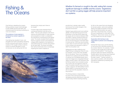### Fishing & The Oceans

Whether it's farmed or caught in the wild, eating fish causes significant damage to wildlife and the oceans. Vegetarians don't eat fish so going veggie will help preserve important eco systems.

Over-fishing is depleting the oceans; fishing practices cause untold damage to both wildlife and the sea itself; and industrial-scale fish-farming is polluting our rivers and streams.

#### The existence of many species is threatened by society's appetite for fish flesh.

Over-fishing has resulted in tuna, cod, swordfish and marlin populations declining by 90% during the last century<sup>20</sup> and the number of fish caught is likely to decline further for several decades to come, not because we are eating less fish but

because they simply aren't there to be caught!

A recent major study predicted that all commercial fisheries could die out by 205021. This four-year analysis is the first to examine all existing data on ocean species and ecosystems in order to understand the importance of biodiversity at the global scale. The results revealed that the global trend is a serious concern and projects the collapse (90% depletion) of all species of wild seafood that are currently being fished by the year 2050. The study concluded that marine biodiversity loss is increasingly impairing the ocean's capacity to



provide food, maintain water quality, and recover from small changes in the physical environment.

Despite huge publicity and much political debate, the International Council for the Exploration of the Sea (ICES) states that fish stocks did not improve between 2005 and 2006. It reports numerous stocks as being too heavily fished and cites depletion of cod and sand eel in the North Sea<sup>22</sup> to name just two. ICES has recommended a zero catch of cod for the last 5 years due to low numbers and advised no catch in 2007 for all southern cod.

Safeguards are often ineffective and illegal fishing is widespread. Blue-fin tuna, for example, is one of the most valuable fish on the planet. There is an increasing demand for its capture and almost a third of catches from the Mediterranean alone arise from illegal and unregulated fishing23. Japan recently made a rare admission that its fishing vessels have exceeded quotas. The country has now agreed to halve its catch of southern blue-fin tuna for the next 5 years. However, the World Wide Fund for Nature (WWF) is concerned that this will still not give the fish population chance to fully recover<sup>24</sup>.

The fishing industry is responsible for some of the most environmentally damaging practices affecting our seas and oceans today. Bottom-trawling (trawling

for fish on the ocean floor) and dredging (to harvest oysters, clams and scallops) destroy the fragile ecosystem of the seabed. Dynamite and poison are used to catch fish in South East Asia, including the use of explosives on coral reefs in the Philippines, where shock waves can kill fish up to 50 metres from the site of blast $25$ .

#### Aquaculture (fish farming) is also responsible for pollution and endangering wildlife.

Farmed fish have to eat, and the feeding of carnivorous fish intensifies pressure on the oceanic fisheries. For example, it takes 5 tonnes of wild caught fish to feed each tonne of farmed salmon<sup>26</sup>. Farming also produces waste and reports indicate that Scottish salmon farms alone have breached pollution limits more than 400 times in the past 3 years<sup>27</sup>. 'Genetic pollution' is also a serious problem, with wild salmon populations weakened by breeding with farm escapees.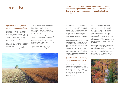## Land Use

The vast amount of land used to raise animals is causing environmental problems such as habitat destruction and deforestation. Going vegetarian will halve the land-use of your diet.

#### Thirty percent of the earth's entire land surface – a massive 70% of all agricultural land - is used for rearing farmed animals.

Much of this is grazing land that would otherwise host a natural habitat such as the valuable rainforest, but crops are also grown specifically as animal feed. In fact, a third of the world's land suitable for growing crops is used to produce feed for farmed animals<sup>8</sup>.

Livestock farming is essentially inefficient as mammals in particular are inefficient converters of feed to meat. A vast percentage of gross energy (89-97%) and

protein (80-96%) contained in the cereal/ grain fed to animals is not converted into edible fat and protein<sup>7</sup>. Cattle require approximately 7kg of grain in order to generate 1 kg of beef and pigs require 4kg grain for 1 kg of pork<sup>10</sup>.

Livestock farming can lead to overgrazing causing soil erosion, desertification and deforestation<sup>10</sup>. Twenty percent of the world's grazing land has already been designated as degraded due to the rearing of animals for their meat<sup>8</sup>.

Forests are one of the world's most valuable resources, providing a home



for approximately 300 million people (indigenous and non-indigenous) along with numerous unique plant and animal species. Over 1.5 billion people depend upon the forests, whether this be their livelihood, fuel wood, medicinal plants or food28. Tropical rainforests are thought to hold over half of the Earth's plant and animal species.

Our forests are being destroyed at a rapid rate. Between 2000 and 2005, 90 million acres of forest were destroyed and the World Resource Institute estimates that 39% of the world's remaining frontier forest is at risk28. Today's main threats include clearing land for agriculture and overgrazing as well as the more widely publicised commercial logging, energy development and mining.

Livestock production is responsible for 70% of the Amazon deforestation in Latin America, where the rainforest has been cleared to create new pastures<sup>8</sup>.

Deforestation increases greenhouse gas emissions by releasing carbon previously stored in the trees. It is also a major driver in the loss of biodiversity – a pressing concern when one considers the fact that just a few species of livestock now account for about 20% of total terrestrial animal biomass<sup>8</sup>.

Rearing animals away from precious habitats offers no easy solutions. It is becoming more common for cattle to be denied the opportunity to graze by moving them directly into feedlots after being weaned. Intensive feeding on a diet consisting mainly of concentrates has been shown to be an inefficient way of producing dietary proteins<sup>7</sup>. In order to supply meat producers with cheap animal feed, large areas of tropical forests have been cleared<sup>28</sup>

It has been calculated that someone living on a vegetarian diet in the UK requires less than half the area of land to grow their food than someone following a conventional diet. A vegetarian population could farm less intensively and still have space to increase production of bio-fuel crops.

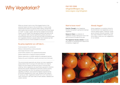# Why Vegetarian?

### 0161 925 2000 whygreen@vegsoc.org www.vegsoc.org/whygreen

#### What we choose to eat is one of the biggest factors in the personal impact we have on the environment. A recent study, examining the impact of a typical week's eating, showed that plant-based diets are better for the environment than those based on meat<sup>29</sup>. A vegan, organic diet had the smallest environmental impact, but the single most damaging foodstuff was beef and all non-vegetarian diets required significantly greater amounts of environmental resources, such as land and water. By feeding grain and vegetables directly to people (rather than livestock) we can increase the amount of food available to everyone.

#### By going vegetarian you will help to…

Avoid excessive CO<sub>2</sub> production Reduce methane/nitrous oxide production Save large amounts of water Avoid further pollution of our streams/rivers/oceans Reduce destruction of topsoil & tropical rainforest Reduce destruction of wildlife habitats & endangered species Reduce the use of antibiotics, growth promoters and chemicals

The environmental arguments are strong, but many vegetarians simply believe that it is wrong to kill when there is no need to. Others love and respect animals and want to minimize their suffering. Some vegetarians are specifically opposed to intensive farming and choose vegetarianism because it sends a strong signal, guarantees you won't be eating an animal reared in appalling conditions, and avoids the distress experienced by all animals slaughtered for their meat. Whatever their reasons for giving up meat, vegetarians benefit from much more than a clear conscience, with lower rates of heart disease, diabetes and certain cancers.

#### Want to know more?

**Food for Thought** is the Vegetarian Society's free guide to going (and staying) vegetarian.

**Season to Taste** is a collection of vegetarian recipes making the most of UKgrown produce throughout the year.

**The Vegetarian Society website** includes fact sheets on everything from Vitamin B12 to keeping a veggie pet.

#### **Already Veggie?**

Going vegetarian is a positive choice for the environment, but vegetarians can do more by eating organic, seasonal, locallygrown produce wherever possible. Order your copy of Season to Taste to give you some ideas or post your own suggestions on our website.

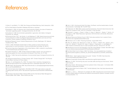### References

**1.** Eshel, G. and Martin, P. A. 2006. Diet, Energy and Global Warming. *Earth Interactions*. 10(9).

**2.** The United Nations Population Database http://esa.un.org/unpp/

**3**. Nonhebel. S. 2004. On resource use in food production systems: the value of livestock as 'rest-stream upgrading system'. *Ecological Economics*. 48, 221-230.

**4.** Goodland, R. 1997. Environmental sustainability in agriculture: diet matters. *Ecological Economics*. 23, 189-200.

**5.** Penning de Vries, F.W.T., Van Keulen, H. and Rabbinge, R. 1995. Natural resources and limits of food production in 2040. Eco-Regional Approaches for Sustainable Land Use and Food Production. Kluwer Academic Publishing. Dordrecht. 65-87.

**6.** National Research Council. Nutrient Requirements of Poultry. Washington, DC: National Academy Press, 1994.

**7.** Smil, V. 2002. Worldwide transformation of diets, burdens of meat production and opportunities for novel food proteins. *Enzyme and Microbial Technology*. 30, 305-311.

**8.** Food and Agriculture Organisation of the United Nations. 2006. Livestock's Long Shadow – Environmental Issues and Options. Rome.

**9.** Carlsson-Kanyama, A. 1998. Climate change and dietary choices, how can emission of greenhouse gases from food consumption be reduced? *Food Policy*. 23, 277-293.

**10.** White, T. 2000. Diet and the distribution of environmental impact. Ecological Economics. 34, 145-153.

**11.** Intergovernmental Panel on Climate Change. 2007. Climate Change 2007: The Physical Science Basis. Summary for Policy makers.

**12.** Dyer, J.A. and Desjardins, R.L. 2003. The impact of farm machinery management on greenhouse gas emissions from Canadian agriculture. *Sustainable Agriculture*. 20, 59-74.

**13.** BBC News 10th December 2006. http://newsvote.bbc.co.uk/mpapps/pagetools/print/news. bbc.co.uk/1/hi/uk/6046340.stm

**14.** Food and Agriculture Organisation. 22nd March 2007. FAO urges action to cope with increasing water scarcity. Rome. http://www.fao.org/newsroom/en/news/2007/1000520/index. html

**15.** Stockholm International Water Institute (SIWI) and the International Water Management Institute (IWMI). 2004. Water – More nutrition per drop.

**16.** Smil, V. 2001. Enriching the Earth Fritz Haber, Carl Bosch, and the transformation of world food production. Cambridge, MA: The MIT Press.

**17.** Fallenmark, M. 1989. Water scarcity and food production. Food and natural resources, San Diego (CA): Academic Press. 164-191 in Pimental. D. Hall CW (eds).

**18.** Pimental, D., Houser, J., Preiss, E., White, O., Fang, O., Mesnick, L., Barsky, T., Tariche, J.S. and Alpert, S. 1997. Water Resources: Agriculture, the Environment, and Society. *Bioscience*. 47 (2), 97-106.

**19.** Natural Resources Defense Council. 2005. Facts about pollution from Livestock Farms. http://www.nrdc.org/water/pollution/ffarms.asp

**20.** Nicholson-Lord, D. 2004. 'Poisoning Ourselves'. August 28th 44-45.

**21.** Worm, B., Barbier, E.B., Beaumont, N., Duffy, J.E., Folke, C., Halpern, B.S., Jackson, J.B.C., Lotze, H.K., Micheli, F., Palumbi, S.R., Sala, E., Selkoe, K., Stachowicz, J.J. and Watson, R. 2006. Impacts of biodiversity loss on ocean ecosystem services. *Science* 314, 787-790.

**22.**International Council for the Exploration of the Sea. Press Release. October 16th 2006. http:// www.ices.dk/aboutus/pressrelease/ICESPressReleaseOct2006.pdf

**23.**The World Wide Fund for Nature. 2006. Fish Dishes - the unacceptable face of seafood http://www.panda.org/about\_wwf/what\_we\_do/marine/help/seafood\_lovers/fish\_dishes/index. cfm

**24.**BBC News. "Japan agrees to halve tuna quota". October 17th 2006. http://news.bbc. co.uk/1/hi/world/asia-pacific/6057576.stm

**25.**Marine Conservation Society 2006. www.fishonline.org/information/methods

**26.**Brown, R. 2000. 'Fish farming may soon over take cattle ranching as a food source.' World watch Institute.

**27.**Sunday Herald. '400 breaches of fish farm pollution limits in three years'. 1st October 2006. http://www.sundayherald.com/58261

**28.**The World Wide Fund for Nature. 2007. The Bio-DaVersity Code. http://www.daversitycode. com/earthscope/

**29.**Baroni, L., Cenci, L., Tettemanti, M. and Berati, M. 2006. Evaluating the environmental impact of various dietary patterns combined with different food production systems. European Journal of *Clinical Nutrition*. 1-8.